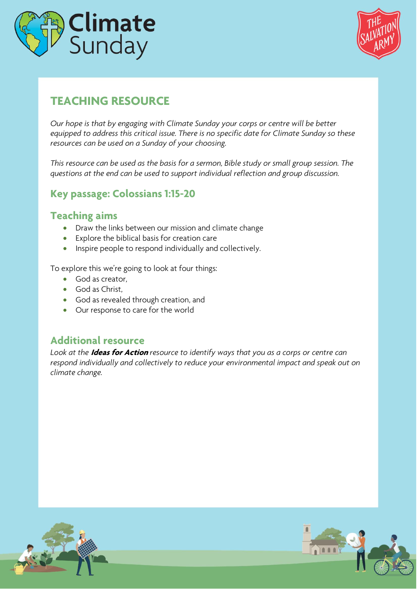



# **TEACHING RESOURCE**

*Our hope is that by engaging with Climate Sunday your corps or centre will be better equipped to address this critical issue. There is no specific date for Climate Sunday so these resources can be used on a Sunday of your choosing.* 

*This resource can be used as the basis for a sermon, Bible study or small group session. The questions at the end can be used to support individual reflection and group discussion.*

#### **Key passage: Colossians 1:15-20**

#### **Teaching aims**

- Draw the links between our mission and climate change
- Explore the biblical basis for creation care
- Inspire people to respond individually and collectively.

To explore this we're going to look at four things:

- God as creator,
- God as Christ,
- God as revealed through creation, and
- Our response to care for the world

#### **Additional resource**

*Look at the* **Ideas for Action** *resource to identify ways that you as a corps or centre can respond individually and collectively to reduce your environmental impact and speak out on climate change.*

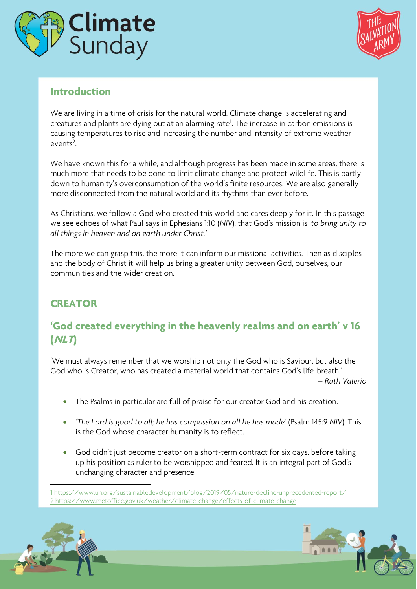



#### **Introduction**

We are living in a time of crisis for the natural world. Climate change is accelerating and creatures and plants are dying out at an alarming rate<sup>1</sup>. The increase in carbon emissions is causing temperatures to rise and increasing the number and intensity of extreme weather  $events<sup>2</sup>$ . .

We have known this for a while, and although progress has been made in some areas, there is much more that needs to be done to limit climate change and protect wildlife. This is partly down to humanity's overconsumption of the world's finite resources. We are also generally more disconnected from the natural world and its rhythms than ever before.

As Christians, we follow a God who created this world and cares deeply for it. In this passage we see echoes of what Paul says in Ephesians 1:10 (*NIV*), that God's mission is '*to bring unity to all things in heaven and on earth under Christ.'*

The more we can grasp this, the more it can inform our missional activities. Then as disciples and the body of Christ it will help us bring a greater unity between God, ourselves, our communities and the wider creation.

# **CREATOR**

### **'God created everything in the heavenly realms and on earth' v 16 (NLT)**

'We must always remember that we worship not only the God who is Saviour, but also the God who is Creator, who has created a material world that contains God's life-breath.'

*– Ruth Valerio*

- The Psalms in particular are full of praise for our creator God and his creation.
- *'The Lord is good to all; he has compassion on all he has made'* (Psalm 145:9 *NIV*). This is the God whose character humanity is to reflect.
- God didn't just become creator on a short-term contract for six days, before taking up his position as ruler to be worshipped and feared. It is an integral part of God's unchanging character and presence.

<sup>1</sup> <https://www.un.org/sustainabledevelopment/blog/2019/05/nature-decline-unprecedented-report/> 2 <https://www.metoffice.gov.uk/weather/climate-change/effects-of-climate-change>



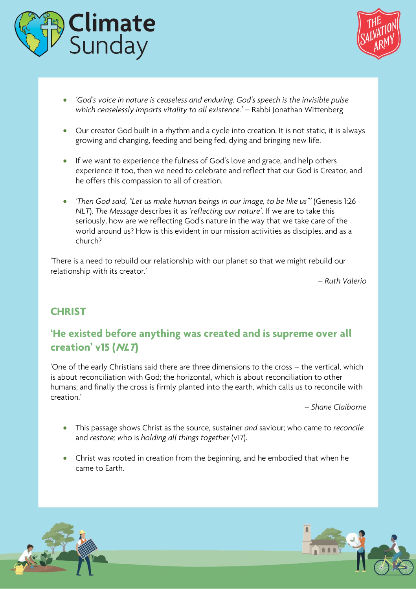



- *'God's voice in nature is ceaseless and enduring. God's speech is the invisible pulse which ceaselessly imparts vitality to all existence.'* – Rabbi Jonathan Wittenberg
- Our creator God built in a rhythm and a cycle into creation. It is not static, it is always growing and changing, feeding and being fed, dying and bringing new life.
- If we want to experience the fulness of God's love and grace, and help others experience it too, then we need to celebrate and reflect that our God is Creator, and he offers this compassion to all of creation.
- *'Then God said, "Let us make human beings in our image, to be like us"'* (Genesis 1:26 *NLT*). *The Message* describes it as *'reflecting our nature'*. If we are to take this seriously, how are we reflecting God's nature in the way that we take care of the world around us? How is this evident in our mission activities as disciples, and as a church?

'There is a need to rebuild our relationship with our planet so that we might rebuild our relationship with its creator.'

*– Ruth Valerio*

#### **CHRIST**

### **'He existed before anything was created and is supreme over all creation' v15 (NLT)**

'One of the early Christians said there are three dimensions to the cross – the vertical, which is about reconciliation with God; the horizontal, which is about reconciliation to other humans; and finally the cross is firmly planted into the earth, which calls us to reconcile with creation.'

*– Shane Claiborne*

- This passage shows Christ as the source, sustainer *and* saviour; who came to *reconcile* and *restore; w*ho is *holding all things together* (v17).
- Christ was rooted in creation from the beginning, and he embodied that when he came to Earth.



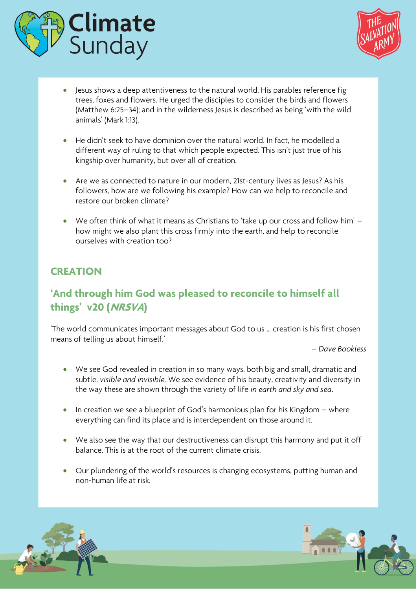



- Jesus shows a deep attentiveness to the natural world. His parables reference fig trees, foxes and flowers. He urged the disciples to consider the birds and flowers (Matthew 6:25–34); and in the wilderness Jesus is described as being 'with the wild animals' (Mark 1:13).
- He didn't seek to have dominion over the natural world. In fact, he modelled a different way of ruling to that which people expected. This isn't just true of his kingship over humanity, but over all of creation.
- Are we as connected to nature in our modern, 21st-century lives as Jesus? As his followers, how are we following his example? How can we help to reconcile and restore our broken climate?
- We often think of what it means as Christians to 'take up our cross and follow him' how might we also plant this cross firmly into the earth, and help to reconcile ourselves with creation too?

#### **CREATION**

# **'And through him God was pleased to reconcile to himself all things' v20 (NRSVA)**

'The world communicates important messages about God to us … creation is his first chosen means of telling us about himself.'

*– Dave Bookless*

- We see God revealed in creation in so many ways, both big and small, dramatic and subtle, *visible and invisible.* We see evidence of his beauty, creativity and diversity in the way these are shown through the variety of life *in earth and sky and sea*.
- In creation we see a blueprint of God's harmonious plan for his Kingdom where everything can find its place and is interdependent on those around it.
- We also see the way that our destructiveness can disrupt this harmony and put it off balance. This is at the root of the current climate crisis.
- Our plundering of the world's resources is changing ecosystems, putting human and non-human life at risk.



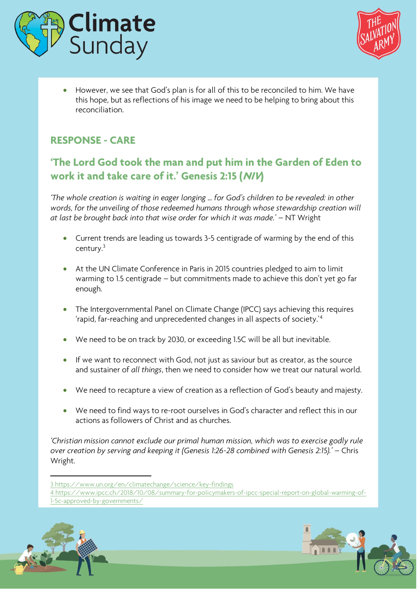



• However, we see that God's plan is for all of this to be reconciled to him. We have this hope, but as reflections of his image we need to be helping to bring about this reconciliation.

### **RESPONSE - CARE**

# **'The Lord God took the man and put him in the Garden of Eden to work it and take care of it.' Genesis 2:15 (NIV)**

*'The whole creation is waiting in eager longing … for God's children to be revealed: in other words, for the unveiling of those redeemed humans through whose stewardship creation will at last be brought back into that wise order for which it was made.'* – NT Wright

- Current trends are leading us towards 3-5 centigrade of warming by the end of this century.<sup>3</sup>
- At the UN Climate Conference in Paris in 2015 countries pledged to aim to limit warming to 1.5 centigrade – but commitments made to achieve this don't yet go far enough.
- The Intergovernmental Panel on Climate Change (IPCC) says achieving this requires 'rapid, far-reaching and unprecedented changes in all aspects of society.'<sup>4</sup>
- We need to be on track by 2030, or exceeding 1.5C will be all but inevitable.
- If we want to reconnect with God, not just as saviour but as creator, as the source and sustainer of *all things*, then we need to consider how we treat our natural world.
- We need to recapture a view of creation as a reflection of God's beauty and majesty.
- We need to find ways to re-root ourselves in God's character and reflect this in our actions as followers of Christ and as churches.

*'Christian mission cannot exclude our primal human mission, which was to exercise godly rule over creation by serving and keeping it (Genesis 1:26-28 combined with Genesis 2:15).'* – Chris Wright.

3 <https://www.un.org/en/climatechange/science/key-findings>

<sup>4</sup> [https://www.ipcc.ch/2018/10/08/summary-for-policymakers-of-ipcc-special-report-on-global-warming-of-](https://www.ipcc.ch/2018/10/08/summary-for-policymakers-of-ipcc-special-report-on-global-warming-of-1-5c-approved-by-governments/)[1-5c-approved-by-governments/](https://www.ipcc.ch/2018/10/08/summary-for-policymakers-of-ipcc-special-report-on-global-warming-of-1-5c-approved-by-governments/)



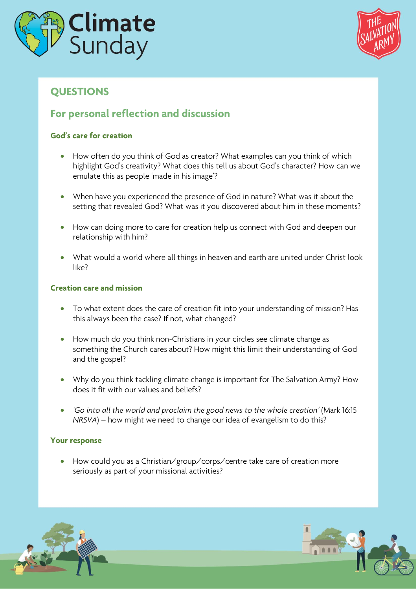



## **QUESTIONS**

#### **For personal reflection and discussion**

#### **God's care for creation**

- How often do you think of God as creator? What examples can you think of which highlight God's creativity? What does this tell us about God's character? How can we emulate this as people 'made in his image'?
- When have you experienced the presence of God in nature? What was it about the setting that revealed God? What was it you discovered about him in these moments?
- How can doing more to care for creation help us connect with God and deepen our relationship with him?
- What would a world where all things in heaven and earth are united under Christ look like?

#### **Creation care and mission**

- To what extent does the care of creation fit into your understanding of mission? Has this always been the case? If not, what changed?
- How much do you think non-Christians in your circles see climate change as something the Church cares about? How might this limit their understanding of God and the gospel?
- Why do you think tackling climate change is important for The Salvation Army? How does it fit with our values and beliefs?
- *'Go into all the world and proclaim the good news to the whole creation'* (Mark 16:15 *NRSVA*) – how might we need to change our idea of evangelism to do this?

#### **Your response**

• How could you as a Christian/group/corps/centre take care of creation more seriously as part of your missional activities?